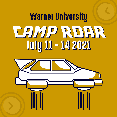### Camp ROAR July 11 - 14 2021 Warner University

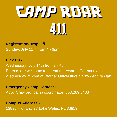

**Registration/Drop Off** - Sunday, July 11th from 4 - 6pm

#### **Pick Up -**

Wednesday, July 14th from 3 - 4pm Parents are welcome to attend the Awards Ceremony on Wednesday at 2pm at Warner University's *Darby Lecture Hall*

#### **Emergency Camp Contact -**

Abby Crawford, camp coordinator: 863.289.0433

**Campus Address -**  13895 Highway 27 Lake Wales, FL 33859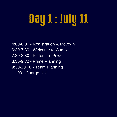## Day 1 : July 11

4:00-6:00 - Registration & Move-In 6:30-7:30 - Welcome to Camp 7:30-8:30 - Plutonium Power 8:30-9:30 - Prime Planning 9:30-10:00 - Team Planning 11:00 - Charge Up!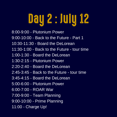# Day 2 : July 12

8:00-9:00 - Plutonium Power 9:00-10:00 - Back to the Future - Part 1 10:30-11:30 - Board the DeLorean 11:30-1:00 - Back to the Future - tour time 1:00-1:30 - Board the DeLorean 1:30-2:15 - Plutonium Power 2:20-2:40 - Board the DeLorean 2:45-3:45 - Back to the Future - tour time 3:45-4:15 - Board the DeLorean 5:00-6:00 - Plutonium Power 6:00-7:00 - ROAR War 7:00-9:00 - Team Planning 9:00-10:00 - Prime Planning 11:00 - Charge Up!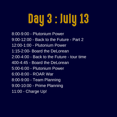# Day 3 : July 13

8:00-9:00 - Plutonium Power 9:00-12:00 - Back to the Future - Part 2 12:00-1:00 - Plutonium Power 1:15-2:00- Board the DeLorean 2:00-4:00 - Back to the Future - tour time 400-4:45 - Board the DeLorean 5:00-6:00 - Plutonium Power 6:00-8:00 - ROAR War 8:00-9:00 - Team Planning 9:00-10:00 - Prime Planning 11:00 - Charge Up!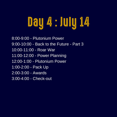## Day 4 : July 14

8:00-9:00 - Plutonium Power 9:00-10:00 - Back to the Future - Part 3 10:00-11:00 - Roar War 11:00-12:00 - Power Planning 12:00-1:00 - Plutonium Power 1:00-2:00 - Pack Up 2:00-3:00 - Awards 3:00-4:00 - Check-out